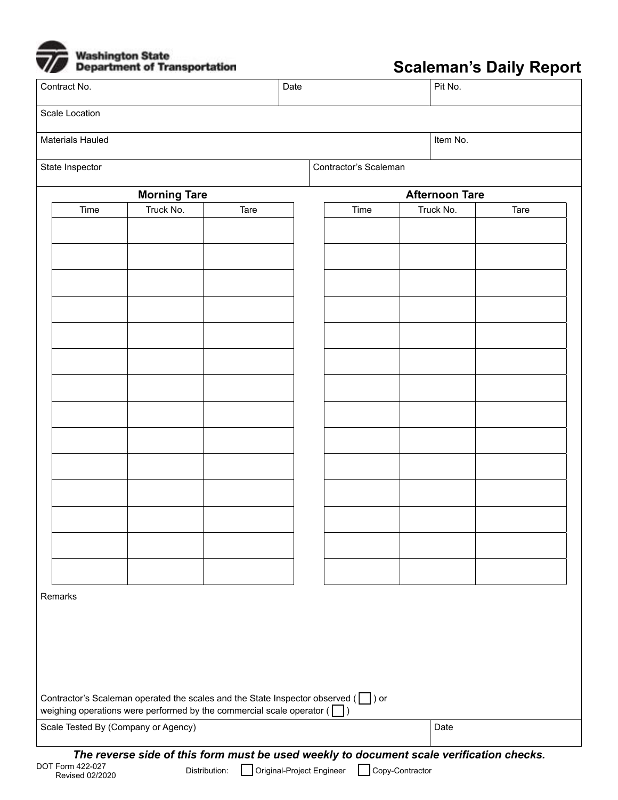

## **Scaleman's Daily Report**

| Contract No.                                                                                                                                                             | Date |                           |                 |                       | Pit No. |  |
|--------------------------------------------------------------------------------------------------------------------------------------------------------------------------|------|---------------------------|-----------------|-----------------------|---------|--|
| Scale Location                                                                                                                                                           |      |                           |                 |                       |         |  |
| Materials Hauled                                                                                                                                                         |      |                           |                 | Item No.              |         |  |
| State Inspector                                                                                                                                                          |      | Contractor's Scaleman     |                 |                       |         |  |
| <b>Morning Tare</b>                                                                                                                                                      |      |                           |                 | <b>Afternoon Tare</b> |         |  |
| Truck No.<br>Time<br>Tare                                                                                                                                                |      | Time                      |                 | Truck No.             | Tare    |  |
|                                                                                                                                                                          |      |                           |                 |                       |         |  |
|                                                                                                                                                                          |      |                           |                 |                       |         |  |
|                                                                                                                                                                          |      |                           |                 |                       |         |  |
|                                                                                                                                                                          |      |                           |                 |                       |         |  |
|                                                                                                                                                                          |      |                           |                 |                       |         |  |
|                                                                                                                                                                          |      |                           |                 |                       |         |  |
|                                                                                                                                                                          |      |                           |                 |                       |         |  |
|                                                                                                                                                                          |      |                           |                 |                       |         |  |
|                                                                                                                                                                          |      |                           |                 |                       |         |  |
|                                                                                                                                                                          |      |                           |                 |                       |         |  |
|                                                                                                                                                                          |      |                           |                 |                       |         |  |
|                                                                                                                                                                          |      |                           |                 |                       |         |  |
|                                                                                                                                                                          |      |                           |                 |                       |         |  |
|                                                                                                                                                                          |      |                           |                 |                       |         |  |
|                                                                                                                                                                          |      |                           |                 |                       |         |  |
|                                                                                                                                                                          |      |                           |                 |                       |         |  |
|                                                                                                                                                                          |      |                           |                 |                       |         |  |
|                                                                                                                                                                          |      |                           |                 |                       |         |  |
|                                                                                                                                                                          |      |                           |                 |                       |         |  |
| Remarks                                                                                                                                                                  |      |                           |                 |                       |         |  |
|                                                                                                                                                                          |      |                           |                 |                       |         |  |
|                                                                                                                                                                          |      |                           |                 |                       |         |  |
|                                                                                                                                                                          |      |                           |                 |                       |         |  |
|                                                                                                                                                                          |      |                           |                 |                       |         |  |
| Contractor's Scaleman operated the scales and the State Inspector observed $(\Box)$ or<br>weighing operations were performed by the commercial scale operator ( $\Box$ ) |      |                           |                 |                       |         |  |
| Scale Tested By (Company or Agency)                                                                                                                                      |      |                           |                 | Date                  |         |  |
| The reverse side of this form must be used weekly to document scale verification checks.<br>DOT Form 422-027<br>Distribution:<br>عصصص صمير                               |      | Original-Project Engineer | Copy-Contractor |                       |         |  |